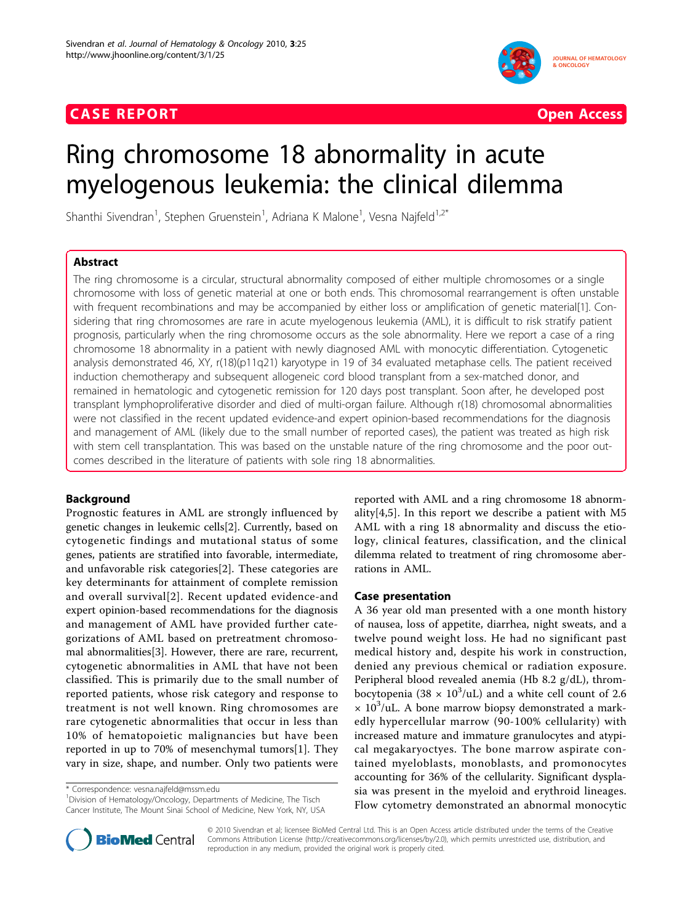## **CASE REPORT CASE REPORT CASE REPORT**



# Ring chromosome 18 abnormality in acute myelogenous leukemia: the clinical dilemma

Shanthi Sivendran<sup>1</sup>, Stephen Gruenstein<sup>1</sup>, Adriana K Malone<sup>1</sup>, Vesna Najfeld<sup>1,2\*</sup>

## Abstract

The ring chromosome is a circular, structural abnormality composed of either multiple chromosomes or a single chromosome with loss of genetic material at one or both ends. This chromosomal rearrangement is often unstable with frequent recombinations and may be accompanied by either loss or amplification of genetic material[[1\]](#page-3-0). Considering that ring chromosomes are rare in acute myelogenous leukemia (AML), it is difficult to risk stratify patient prognosis, particularly when the ring chromosome occurs as the sole abnormality. Here we report a case of a ring chromosome 18 abnormality in a patient with newly diagnosed AML with monocytic differentiation. Cytogenetic analysis demonstrated 46, XY, r(18)(p11q21) karyotype in 19 of 34 evaluated metaphase cells. The patient received induction chemotherapy and subsequent allogeneic cord blood transplant from a sex-matched donor, and remained in hematologic and cytogenetic remission for 120 days post transplant. Soon after, he developed post transplant lymphoproliferative disorder and died of multi-organ failure. Although r(18) chromosomal abnormalities were not classified in the recent updated evidence-and expert opinion-based recommendations for the diagnosis and management of AML (likely due to the small number of reported cases), the patient was treated as high risk with stem cell transplantation. This was based on the unstable nature of the ring chromosome and the poor outcomes described in the literature of patients with sole ring 18 abnormalities.

## Background

Prognostic features in AML are strongly influenced by genetic changes in leukemic cells[\[2\]](#page-3-0). Currently, based on cytogenetic findings and mutational status of some genes, patients are stratified into favorable, intermediate, and unfavorable risk categories[[2\]](#page-3-0). These categories are key determinants for attainment of complete remission and overall survival[[2\]](#page-3-0). Recent updated evidence-and expert opinion-based recommendations for the diagnosis and management of AML have provided further categorizations of AML based on pretreatment chromosomal abnormalities[\[3](#page-3-0)]. However, there are rare, recurrent, cytogenetic abnormalities in AML that have not been classified. This is primarily due to the small number of reported patients, whose risk category and response to treatment is not well known. Ring chromosomes are rare cytogenetic abnormalities that occur in less than 10% of hematopoietic malignancies but have been reported in up to 70% of mesenchymal tumors[[1](#page-3-0)]. They vary in size, shape, and number. Only two patients were

\* Correspondence: [vesna.najfeld@mssm.edu](mailto:vesna.najfeld@mssm.edu)

<sup>1</sup>Division of Hematology/Oncology, Departments of Medicine, The Tisch Cancer Institute, The Mount Sinai School of Medicine, New York, NY, USA reported with AML and a ring chromosome 18 abnormality[[4,5](#page-3-0)]. In this report we describe a patient with M5 AML with a ring 18 abnormality and discuss the etiology, clinical features, classification, and the clinical dilemma related to treatment of ring chromosome aberrations in AML.

## Case presentation

A 36 year old man presented with a one month history of nausea, loss of appetite, diarrhea, night sweats, and a twelve pound weight loss. He had no significant past medical history and, despite his work in construction, denied any previous chemical or radiation exposure. Peripheral blood revealed anemia (Hb 8.2 g/dL), thrombocytopenia (38  $\times$  10<sup>3</sup>/uL) and a white cell count of 2.6  $\times$  10<sup>3</sup>/uL. A bone marrow biopsy demonstrated a markedly hypercellular marrow (90-100% cellularity) with increased mature and immature granulocytes and atypical megakaryoctyes. The bone marrow aspirate contained myeloblasts, monoblasts, and promonocytes accounting for 36% of the cellularity. Significant dysplasia was present in the myeloid and erythroid lineages. Flow cytometry demonstrated an abnormal monocytic



© 2010 Sivendran et al; licensee BioMed Central Ltd. This is an Open Access article distributed under the terms of the Creative Commons Attribution License [\(http://creativecommons.org/licenses/by/2.0](http://creativecommons.org/licenses/by/2.0)), which permits unrestricted use, distribution, and reproduction in any medium, provided the original work is properly cited.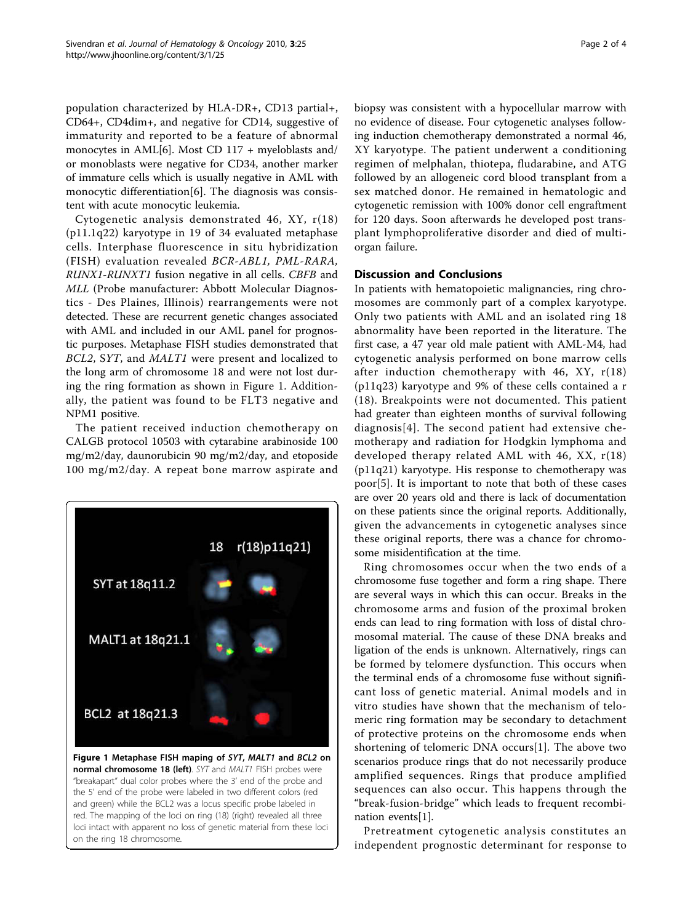population characterized by HLA-DR+, CD13 partial+, CD64+, CD4dim+, and negative for CD14, suggestive of immaturity and reported to be a feature of abnormal monocytes in AML[[6\]](#page-3-0). Most CD 117 + myeloblasts and/ or monoblasts were negative for CD34, another marker of immature cells which is usually negative in AML with monocytic differentiation[[6\]](#page-3-0). The diagnosis was consistent with acute monocytic leukemia.

Cytogenetic analysis demonstrated 46, XY, r(18) (p11.1q22) karyotype in 19 of 34 evaluated metaphase cells. Interphase fluorescence in situ hybridization (FISH) evaluation revealed BCR-ABL1, PML-RARA, RUNX1-RUNXT1 fusion negative in all cells. CBFB and MLL (Probe manufacturer: Abbott Molecular Diagnostics - Des Plaines, Illinois) rearrangements were not detected. These are recurrent genetic changes associated with AML and included in our AML panel for prognostic purposes. Metaphase FISH studies demonstrated that BCL2, SYT, and MALT1 were present and localized to the long arm of chromosome 18 and were not lost during the ring formation as shown in Figure 1. Additionally, the patient was found to be FLT3 negative and NPM1 positive.

The patient received induction chemotherapy on CALGB protocol 10503 with cytarabine arabinoside 100 mg/m2/day, daunorubicin 90 mg/m2/day, and etoposide 100 mg/m2/day. A repeat bone marrow aspirate and



on the ring 18 chromosome.

biopsy was consistent with a hypocellular marrow with no evidence of disease. Four cytogenetic analyses following induction chemotherapy demonstrated a normal 46, XY karyotype. The patient underwent a conditioning regimen of melphalan, thiotepa, fludarabine, and ATG followed by an allogeneic cord blood transplant from a sex matched donor. He remained in hematologic and cytogenetic remission with 100% donor cell engraftment for 120 days. Soon afterwards he developed post transplant lymphoproliferative disorder and died of multiorgan failure.

## Discussion and Conclusions

In patients with hematopoietic malignancies, ring chromosomes are commonly part of a complex karyotype. Only two patients with AML and an isolated ring 18 abnormality have been reported in the literature. The first case, a 47 year old male patient with AML-M4, had cytogenetic analysis performed on bone marrow cells after induction chemotherapy with 46, XY, r(18) (p11q23) karyotype and 9% of these cells contained a r (18). Breakpoints were not documented. This patient had greater than eighteen months of survival following diagnosis[\[4\]](#page-3-0). The second patient had extensive chemotherapy and radiation for Hodgkin lymphoma and developed therapy related AML with 46, XX, r(18) (p11q21) karyotype. His response to chemotherapy was poor[\[5](#page-3-0)]. It is important to note that both of these cases are over 20 years old and there is lack of documentation on these patients since the original reports. Additionally, given the advancements in cytogenetic analyses since these original reports, there was a chance for chromosome misidentification at the time.

Ring chromosomes occur when the two ends of a chromosome fuse together and form a ring shape. There are several ways in which this can occur. Breaks in the chromosome arms and fusion of the proximal broken ends can lead to ring formation with loss of distal chromosomal material. The cause of these DNA breaks and ligation of the ends is unknown. Alternatively, rings can be formed by telomere dysfunction. This occurs when the terminal ends of a chromosome fuse without significant loss of genetic material. Animal models and in vitro studies have shown that the mechanism of telomeric ring formation may be secondary to detachment of protective proteins on the chromosome ends when shortening of telomeric DNA occurs[\[1](#page-3-0)]. The above two scenarios produce rings that do not necessarily produce amplified sequences. Rings that produce amplified sequences can also occur. This happens through the "break-fusion-bridge" which leads to frequent recombination events[[1](#page-3-0)].

Pretreatment cytogenetic analysis constitutes an independent prognostic determinant for response to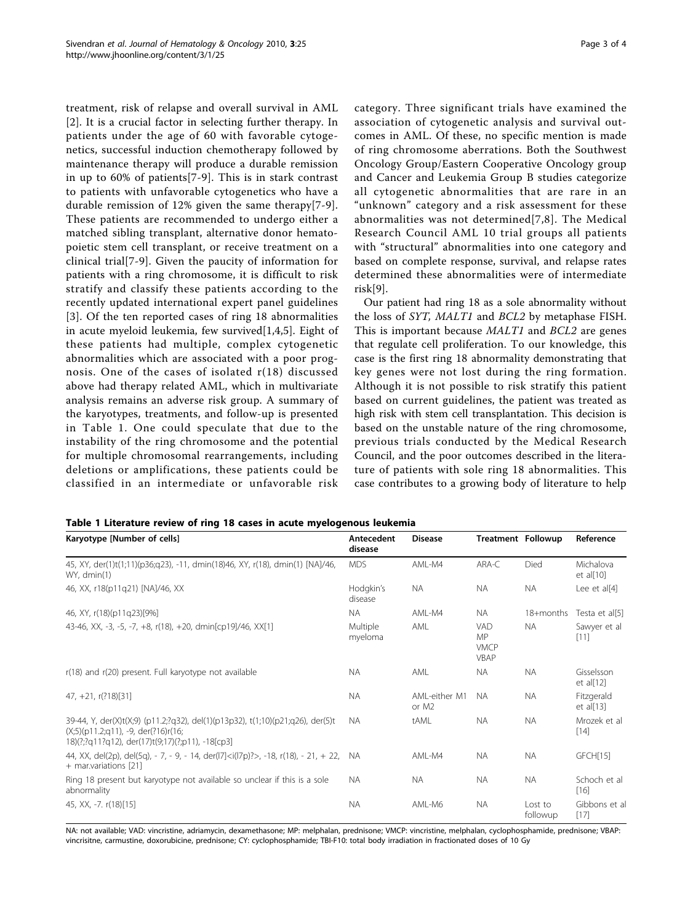treatment, risk of relapse and overall survival in AML [[2\]](#page-3-0). It is a crucial factor in selecting further therapy. In patients under the age of 60 with favorable cytogenetics, successful induction chemotherapy followed by maintenance therapy will produce a durable remission in up to 60% of patients[\[7-9](#page-3-0)]. This is in stark contrast to patients with unfavorable cytogenetics who have a durable remission of 12% given the same therapy[\[7](#page-3-0)-[9](#page-3-0)]. These patients are recommended to undergo either a matched sibling transplant, alternative donor hematopoietic stem cell transplant, or receive treatment on a clinical trial[[7-9\]](#page-3-0). Given the paucity of information for patients with a ring chromosome, it is difficult to risk stratify and classify these patients according to the recently updated international expert panel guidelines [[3](#page-3-0)]. Of the ten reported cases of ring 18 abnormalities in acute myeloid leukemia, few survived[[1,4,5](#page-3-0)]. Eight of these patients had multiple, complex cytogenetic abnormalities which are associated with a poor prognosis. One of the cases of isolated r(18) discussed above had therapy related AML, which in multivariate analysis remains an adverse risk group. A summary of the karyotypes, treatments, and follow-up is presented in Table 1. One could speculate that due to the instability of the ring chromosome and the potential for multiple chromosomal rearrangements, including deletions or amplifications, these patients could be classified in an intermediate or unfavorable risk

category. Three significant trials have examined the association of cytogenetic analysis and survival outcomes in AML. Of these, no specific mention is made of ring chromosome aberrations. Both the Southwest Oncology Group/Eastern Cooperative Oncology group and Cancer and Leukemia Group B studies categorize all cytogenetic abnormalities that are rare in an "unknown" category and a risk assessment for these abnormalities was not determined[[7](#page-3-0),[8](#page-3-0)]. The Medical Research Council AML 10 trial groups all patients with "structural" abnormalities into one category and based on complete response, survival, and relapse rates determined these abnormalities were of intermediate risk[\[9](#page-3-0)].

Our patient had ring 18 as a sole abnormality without the loss of SYT, MALT1 and BCL2 by metaphase FISH. This is important because MALT1 and BCL2 are genes that regulate cell proliferation. To our knowledge, this case is the first ring 18 abnormality demonstrating that key genes were not lost during the ring formation. Although it is not possible to risk stratify this patient based on current guidelines, the patient was treated as high risk with stem cell transplantation. This decision is based on the unstable nature of the ring chromosome, previous trials conducted by the Medical Research Council, and the poor outcomes described in the literature of patients with sole ring 18 abnormalities. This case contributes to a growing body of literature to help

|  |  |  |  |  | Table 1 Literature review of ring 18 cases in acute myelogenous leukemia |
|--|--|--|--|--|--------------------------------------------------------------------------|
|--|--|--|--|--|--------------------------------------------------------------------------|

| Karyotype [Number of cells]                                                                                                                                                 | Antecedent<br>disease | <b>Disease</b>                     | <b>Treatment Followup</b>               |                     | Reference                  |
|-----------------------------------------------------------------------------------------------------------------------------------------------------------------------------|-----------------------|------------------------------------|-----------------------------------------|---------------------|----------------------------|
| 45, XY, der(1)t(1;11)(p36;q23), -11, dmin(18)46, XY, r(18), dmin(1) [NA]/46,<br>WY, dmin(1)                                                                                 | <b>MDS</b>            | AMI-M4                             | ARA-C                                   | Died                | Michalova<br>et al $[10]$  |
| 46, XX, r18(p11q21) [NA]/46, XX                                                                                                                                             | Hodgkin's<br>disease  | <b>NA</b>                          | <b>NA</b>                               | <b>NA</b>           | Lee et all41               |
| 46, XY, r(18)(p11q23)[9%]                                                                                                                                                   | <b>NA</b>             | AML-M4                             | <b>NA</b>                               | 18+months           | Testa et al[5]             |
| 43-46, XX, -3, -5, -7, +8, r(18), +20, dmin[cp19]/46, XX[1]                                                                                                                 | Multiple<br>myeloma   | AML                                | <b>VAD</b><br>MP<br><b>VMCP</b><br>VBAP | <b>NA</b>           | Sawyer et al<br>$[11]$     |
| r(18) and r(20) present. Full karyotype not available                                                                                                                       | <b>NA</b>             | AML                                | NA.                                     | <b>NA</b>           | Gisselsson<br>et al $[12]$ |
| $47, +21, r(??18)[31]$                                                                                                                                                      | <b>NA</b>             | AMI-either M1<br>or M <sub>2</sub> | <b>NA</b>                               | <b>NA</b>           | Fitzgerald<br>et al[13]    |
| 39-44, Y, der(X)t(X;9) (p11.2;?q32), del(1)(p13p32), t(1;10)(p21;q26), der(5)t<br>$(X;5)(p11.2;q11), -9, der(?16)r(16;$<br>18)(?;?q11?q12), der(17)t(9;17)(?;p11), -18[cp3] | <b>NA</b>             | tAML                               | <b>NA</b>                               | <b>NA</b>           | Mrozek et al.<br>$[14]$    |
| 44, XX, del(2p), del(5q), - 7, - 9, - 14, der( $ 7 <$ i( $ 7 $ p)?>, -18, r(18), - 21, + 22, NA<br>+ mar.variations [21]                                                    |                       | AML-M4                             | NA.                                     | <b>NA</b>           | GFCH[15]                   |
| Ring 18 present but karyotype not available so unclear if this is a sole<br>abnormality                                                                                     | <b>NA</b>             | <b>NA</b>                          | <b>NA</b>                               | <b>NA</b>           | Schoch et al<br>$[16]$     |
| 45, XX, -7. r(18)[15]                                                                                                                                                       | <b>NA</b>             | AML-M6                             | NA.                                     | Lost to<br>followup | Gibbons et al<br>$[17]$    |

NA: not available; VAD: vincristine, adriamycin, dexamethasone; MP: melphalan, prednisone; VMCP: vincristine, melphalan, cyclophosphamide, prednisone; VBAP: vincrisitne, carmustine, doxorubicine, prednisone; CY: cyclophosphamide; TBI-F10: total body irradiation in fractionated doses of 10 Gy